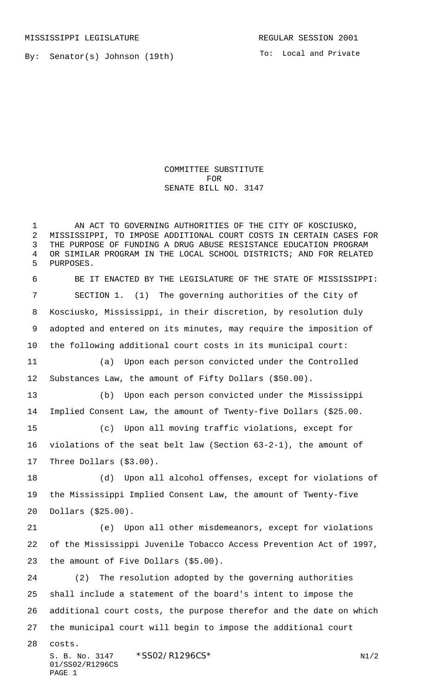PAGE 1

By: Senator(s) Johnson (19th)

To: Local and Private

COMMITTEE SUBSTITUTE FOR SENATE BILL NO. 3147

S. B. No. 3147 \* SS02/R1296CS\* N1/2 01/SS02/R1296CS AN ACT TO GOVERNING AUTHORITIES OF THE CITY OF KOSCIUSKO, MISSISSIPPI, TO IMPOSE ADDITIONAL COURT COSTS IN CERTAIN CASES FOR THE PURPOSE OF FUNDING A DRUG ABUSE RESISTANCE EDUCATION PROGRAM OR SIMILAR PROGRAM IN THE LOCAL SCHOOL DISTRICTS; AND FOR RELATED PURPOSES. BE IT ENACTED BY THE LEGISLATURE OF THE STATE OF MISSISSIPPI: SECTION 1. (1) The governing authorities of the City of Kosciusko, Mississippi, in their discretion, by resolution duly adopted and entered on its minutes, may require the imposition of the following additional court costs in its municipal court: (a) Upon each person convicted under the Controlled Substances Law, the amount of Fifty Dollars (\$50.00). (b) Upon each person convicted under the Mississippi Implied Consent Law, the amount of Twenty-five Dollars (\$25.00. (c) Upon all moving traffic violations, except for violations of the seat belt law (Section 63-2-1), the amount of Three Dollars (\$3.00). (d) Upon all alcohol offenses, except for violations of the Mississippi Implied Consent Law, the amount of Twenty-five Dollars (\$25.00). (e) Upon all other misdemeanors, except for violations of the Mississippi Juvenile Tobacco Access Prevention Act of 1997, the amount of Five Dollars (\$5.00). (2) The resolution adopted by the governing authorities shall include a statement of the board's intent to impose the additional court costs, the purpose therefor and the date on which the municipal court will begin to impose the additional court costs.